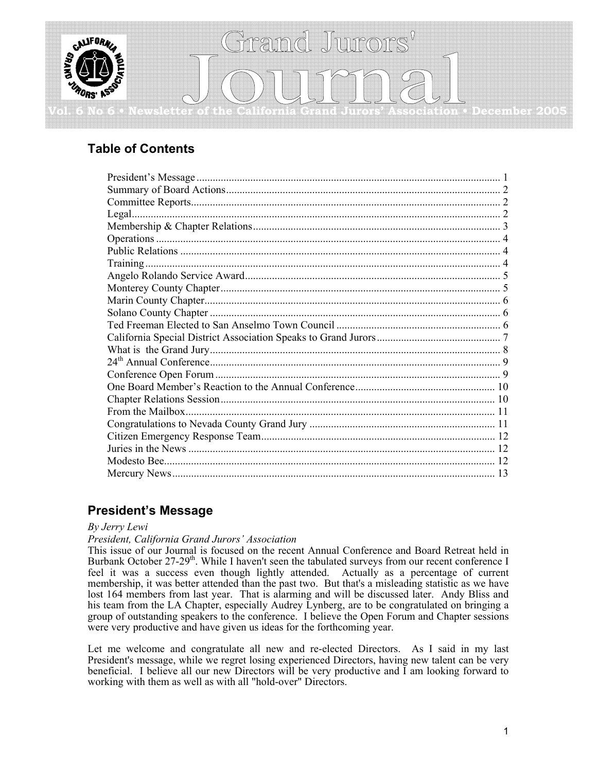

# **Table of Contents**

## **President's Message**

### *By Jerry Lewi*

*President, California Grand Jurors' Association* 

This issue of our Journal is focused on the recent Annual Conference and Board Retreat held in Burbank October 27-29<sup>th</sup>. While I haven't seen the tabulated surveys from our recent conference I feel it was a success even though lightly attended. Actually as a percentage of current membership, it was better attended than the past two. But that's a misleading statistic as we have lost 164 members from last year. That is alarming and will be discussed later. Andy Bliss and his team from the LA Chapter, especially Audrey Lynberg, are to be congratulated on bringing a group of outstanding speakers to the conference. I believe the Open Forum and Chapter sessions were very productive and have given us ideas for the forthcoming year.

Let me welcome and congratulate all new and re-elected Directors. As I said in my last President's message, while we regret losing experienced Directors, having new talent can be very beneficial. I believe all our new Directors will be very productive and I am looking forward to working with them as well as with all "hold-over" Directors.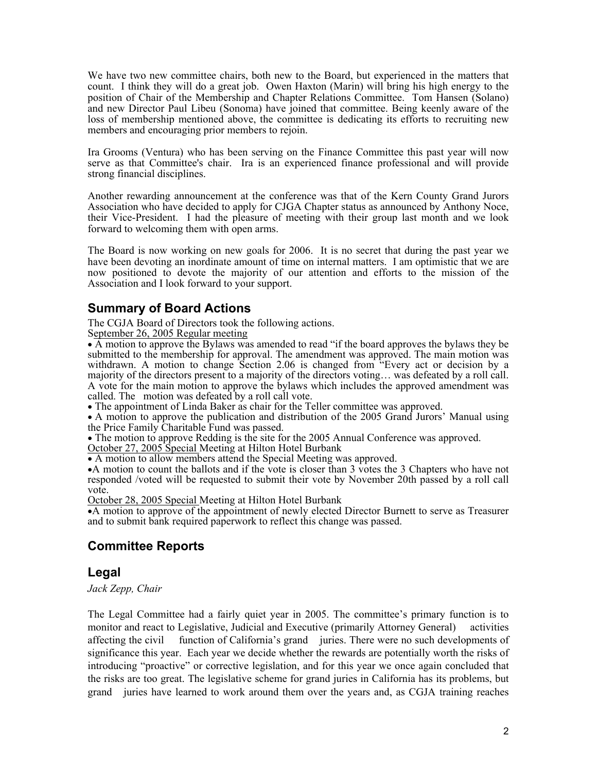We have two new committee chairs, both new to the Board, but experienced in the matters that count. I think they will do a great job. Owen Haxton (Marin) will bring his high energy to the position of Chair of the Membership and Chapter Relations Committee. Tom Hansen (Solano) and new Director Paul Libeu (Sonoma) have joined that committee. Being keenly aware of the loss of membership mentioned above, the committee is dedicating its efforts to recruiting new members and encouraging prior members to rejoin.

Ira Grooms (Ventura) who has been serving on the Finance Committee this past year will now serve as that Committee's chair. Ira is an experienced finance professional and will provide strong financial disciplines.

Another rewarding announcement at the conference was that of the Kern County Grand Jurors Association who have decided to apply for CJGA Chapter status as announced by Anthony Noce, their Vice-President. I had the pleasure of meeting with their group last month and we look forward to welcoming them with open arms.

The Board is now working on new goals for 2006. It is no secret that during the past year we have been devoting an inordinate amount of time on internal matters. I am optimistic that we are now positioned to devote the majority of our attention and efforts to the mission of the Association and I look forward to your support.

### **Summary of Board Actions**

The CGJA Board of Directors took the following actions.

September 26, 2005 Regular meeting

• A motion to approve the Bylaws was amended to read "if the board approves the bylaws they be submitted to the membership for approval. The amendment was approved. The main motion was withdrawn. A motion to change Section 2.06 is changed from "Every act or decision by a majority of the directors present to a majority of the directors voting… was defeated by a roll call. A vote for the main motion to approve the bylaws which includes the approved amendment was called. The motion was defeated by a roll call vote.

• The appointment of Linda Baker as chair for the Teller committee was approved.

• A motion to approve the publication and distribution of the 2005 Grand Jurors' Manual using the Price Family Charitable Fund was passed.

• The motion to approve Redding is the site for the 2005 Annual Conference was approved.

October 27, 2005 Special Meeting at Hilton Hotel Burbank

• A motion to allow members attend the Special Meeting was approved.

•A motion to count the ballots and if the vote is closer than 3 votes the 3 Chapters who have not responded /voted will be requested to submit their vote by November 20th passed by a roll call vote.

October 28, 2005 Special Meeting at Hilton Hotel Burbank

•A motion to approve of the appointment of newly elected Director Burnett to serve as Treasurer and to submit bank required paperwork to reflect this change was passed.

## **Committee Reports**

### **Legal**

### *Jack Zepp, Chair*

The Legal Committee had a fairly quiet year in 2005. The committee's primary function is to monitor and react to Legislative, Judicial and Executive (primarily Attorney General) activities affecting the civil function of California's grand juries. There were no such developments of significance this year. Each year we decide whether the rewards are potentially worth the risks of introducing "proactive" or corrective legislation, and for this year we once again concluded that the risks are too great. The legislative scheme for grand juries in California has its problems, but grand juries have learned to work around them over the years and, as CGJA training reaches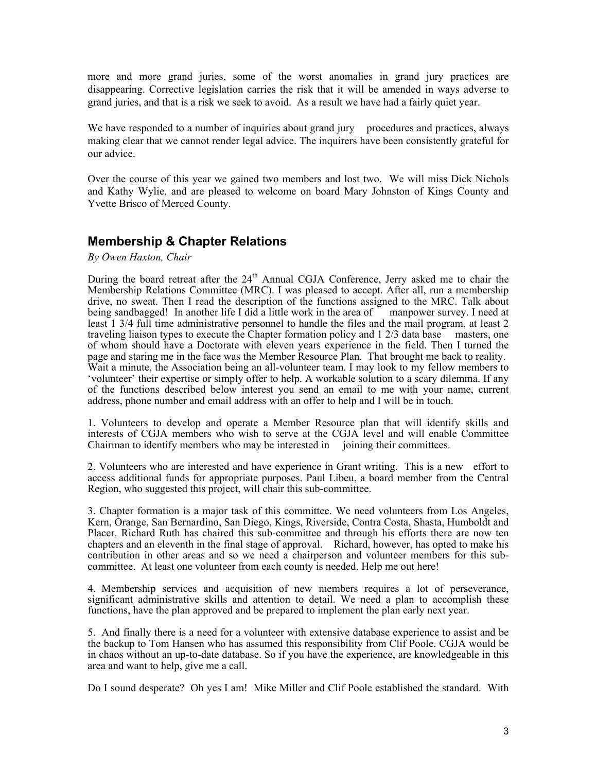more and more grand juries, some of the worst anomalies in grand jury practices are disappearing. Corrective legislation carries the risk that it will be amended in ways adverse to grand juries, and that is a risk we seek to avoid. As a result we have had a fairly quiet year.

We have responded to a number of inquiries about grand jury procedures and practices, always making clear that we cannot render legal advice. The inquirers have been consistently grateful for our advice.

Over the course of this year we gained two members and lost two. We will miss Dick Nichols and Kathy Wylie, and are pleased to welcome on board Mary Johnston of Kings County and Yvette Brisco of Merced County.

### **Membership & Chapter Relations**

*By Owen Haxton, Chair* 

During the board retreat after the 24<sup>th</sup> Annual CGJA Conference, Jerry asked me to chair the Membership Relations Committee (MRC). I was pleased to accept. After all, run a membership drive, no sweat. Then I read the description of the functions assigned to the MRC. Talk about being sandbagged! In another life I did a little work in the area of manpower survey. I need at least 1 3/4 full time administrative personnel to handle the files and the mail program, at least 2 traveling liaison types to execute the Chapter formation policy and 1 2/3 data base masters, one of whom should have a Doctorate with eleven years experience in the field. Then I turned the page and staring me in the face was the Member Resource Plan. That brought me back to reality. Wait a minute, the Association being an all-volunteer team. I may look to my fellow members to 'volunteer' their expertise or simply offer to help. A workable solution to a scary dilemma. If any of the functions described below interest you send an email to me with your name, current address, phone number and email address with an offer to help and I will be in touch.

1. Volunteers to develop and operate a Member Resource plan that will identify skills and interests of CGJA members who wish to serve at the CGJA level and will enable Committee Chairman to identify members who may be interested in joining their committees.

2. Volunteers who are interested and have experience in Grant writing. This is a new effort to access additional funds for appropriate purposes. Paul Libeu, a board member from the Central Region, who suggested this project, will chair this sub-committee.

3. Chapter formation is a major task of this committee. We need volunteers from Los Angeles, Kern, Orange, San Bernardino, San Diego, Kings, Riverside, Contra Costa, Shasta, Humboldt and Placer. Richard Ruth has chaired this sub-committee and through his efforts there are now ten chapters and an eleventh in the final stage of approval. Richard, however, has opted to make his contribution in other areas and so we need a chairperson and volunteer members for this subcommittee. At least one volunteer from each county is needed. Help me out here!

4. Membership services and acquisition of new members requires a lot of perseverance, significant administrative skills and attention to detail. We need a plan to accomplish these functions, have the plan approved and be prepared to implement the plan early next year.

5. And finally there is a need for a volunteer with extensive database experience to assist and be the backup to Tom Hansen who has assumed this responsibility from Clif Poole. CGJA would be in chaos without an up-to-date database. So if you have the experience, are knowledgeable in this area and want to help, give me a call.

Do I sound desperate? Oh yes I am! Mike Miller and Clif Poole established the standard. With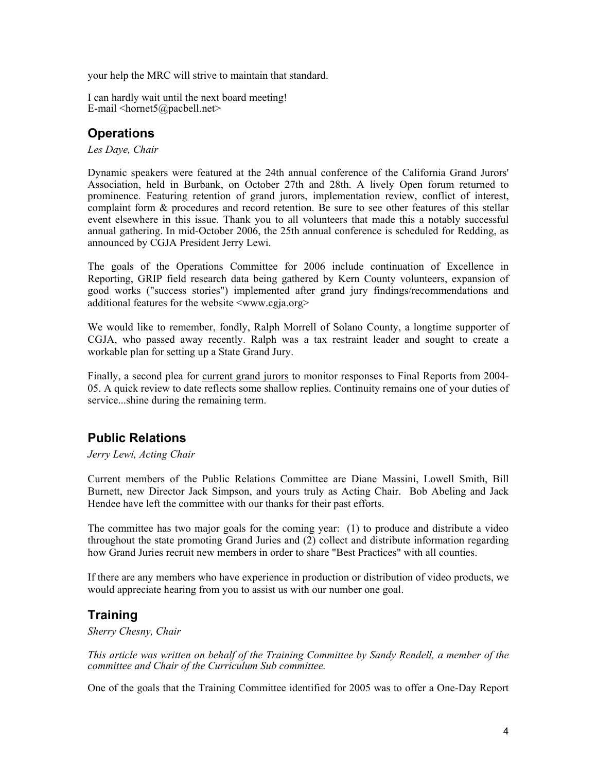your help the MRC will strive to maintain that standard.

I can hardly wait until the next board meeting! E-mail  $\langle$ hornet5@pacbell.net $\rangle$ 

## **Operations**

*Les Daye, Chair* 

Dynamic speakers were featured at the 24th annual conference of the California Grand Jurors' Association, held in Burbank, on October 27th and 28th. A lively Open forum returned to prominence. Featuring retention of grand jurors, implementation review, conflict of interest, complaint form & procedures and record retention. Be sure to see other features of this stellar event elsewhere in this issue. Thank you to all volunteers that made this a notably successful annual gathering. In mid-October 2006, the 25th annual conference is scheduled for Redding, as announced by CGJA President Jerry Lewi.

The goals of the Operations Committee for 2006 include continuation of Excellence in Reporting, GRIP field research data being gathered by Kern County volunteers, expansion of good works ("success stories") implemented after grand jury findings/recommendations and additional features for the website  $\langle$ www.cgja.org>

We would like to remember, fondly, Ralph Morrell of Solano County, a longtime supporter of CGJA, who passed away recently. Ralph was a tax restraint leader and sought to create a workable plan for setting up a State Grand Jury.

Finally, a second plea for current grand jurors to monitor responses to Final Reports from 2004- 05. A quick review to date reflects some shallow replies. Continuity remains one of your duties of service...shine during the remaining term.

# **Public Relations**

*Jerry Lewi, Acting Chair* 

Current members of the Public Relations Committee are Diane Massini, Lowell Smith, Bill Burnett, new Director Jack Simpson, and yours truly as Acting Chair. Bob Abeling and Jack Hendee have left the committee with our thanks for their past efforts.

The committee has two major goals for the coming year: (1) to produce and distribute a video throughout the state promoting Grand Juries and (2) collect and distribute information regarding how Grand Juries recruit new members in order to share "Best Practices" with all counties.

If there are any members who have experience in production or distribution of video products, we would appreciate hearing from you to assist us with our number one goal.

## **Training**

*Sherry Chesny, Chair* 

*This article was written on behalf of the Training Committee by Sandy Rendell, a member of the committee and Chair of the Curriculum Sub committee.* 

One of the goals that the Training Committee identified for 2005 was to offer a One-Day Report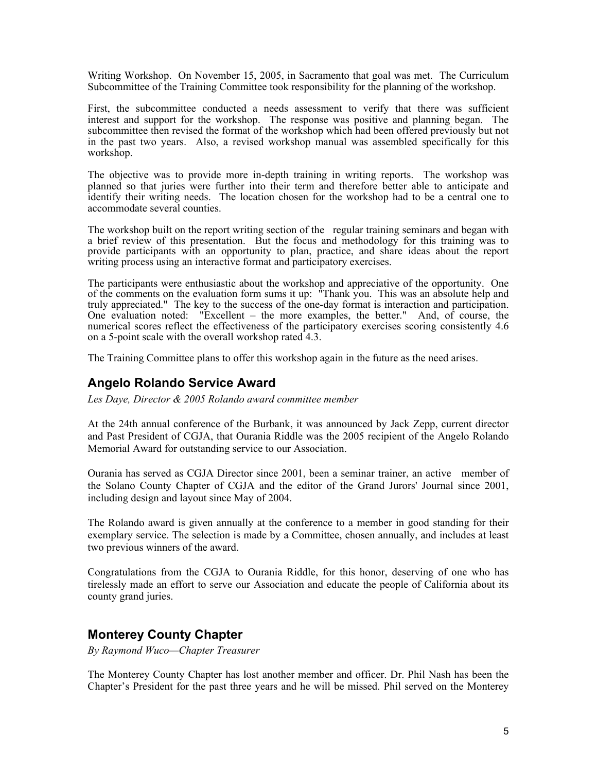Writing Workshop. On November 15, 2005, in Sacramento that goal was met. The Curriculum Subcommittee of the Training Committee took responsibility for the planning of the workshop.

First, the subcommittee conducted a needs assessment to verify that there was sufficient interest and support for the workshop. The response was positive and planning began. The subcommittee then revised the format of the workshop which had been offered previously but not in the past two years. Also, a revised workshop manual was assembled specifically for this workshop.

The objective was to provide more in-depth training in writing reports. The workshop was planned so that juries were further into their term and therefore better able to anticipate and identify their writing needs. The location chosen for the workshop had to be a central one to accommodate several counties.

The workshop built on the report writing section of the regular training seminars and began with a brief review of this presentation. But the focus and methodology for this training was to provide participants with an opportunity to plan, practice, and share ideas about the report writing process using an interactive format and participatory exercises.

The participants were enthusiastic about the workshop and appreciative of the opportunity. One of the comments on the evaluation form sums it up: "Thank you. This was an absolute help and truly appreciated." The key to the success of the one-day format is interaction and participation. One evaluation noted: "Excellent – the more examples, the better." And, of course, the numerical scores reflect the effectiveness of the participatory exercises scoring consistently 4.6 on a 5-point scale with the overall workshop rated 4.3.

The Training Committee plans to offer this workshop again in the future as the need arises.

### **Angelo Rolando Service Award**

*Les Daye, Director & 2005 Rolando award committee member*

At the 24th annual conference of the Burbank, it was announced by Jack Zepp, current director and Past President of CGJA, that Ourania Riddle was the 2005 recipient of the Angelo Rolando Memorial Award for outstanding service to our Association.

Ourania has served as CGJA Director since 2001, been a seminar trainer, an active member of the Solano County Chapter of CGJA and the editor of the Grand Jurors' Journal since 2001, including design and layout since May of 2004.

The Rolando award is given annually at the conference to a member in good standing for their exemplary service. The selection is made by a Committee, chosen annually, and includes at least two previous winners of the award.

Congratulations from the CGJA to Ourania Riddle, for this honor, deserving of one who has tirelessly made an effort to serve our Association and educate the people of California about its county grand juries.

### **Monterey County Chapter**

*By Raymond Wuco—Chapter Treasurer* 

The Monterey County Chapter has lost another member and officer. Dr. Phil Nash has been the Chapter's President for the past three years and he will be missed. Phil served on the Monterey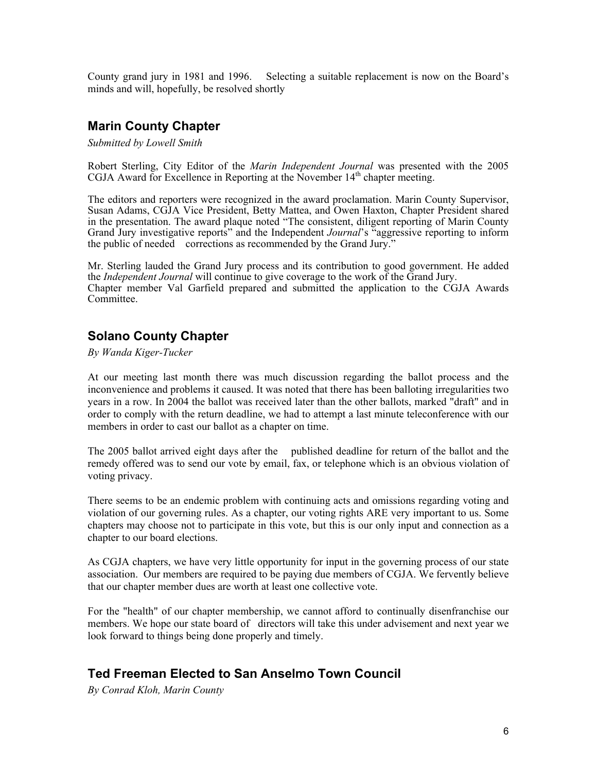County grand jury in 1981 and 1996. Selecting a suitable replacement is now on the Board's minds and will, hopefully, be resolved shortly

### **Marin County Chapter**

*Submitted by Lowell Smith* 

Robert Sterling, City Editor of the *Marin Independent Journal* was presented with the 2005 CGJA Award for Excellence in Reporting at the November  $14<sup>th</sup>$  chapter meeting.

The editors and reporters were recognized in the award proclamation. Marin County Supervisor, Susan Adams, CGJA Vice President, Betty Mattea, and Owen Haxton, Chapter President shared in the presentation. The award plaque noted "The consistent, diligent reporting of Marin County Grand Jury investigative reports" and the Independent *Journal*'s "aggressive reporting to inform the public of needed corrections as recommended by the Grand Jury."

Mr. Sterling lauded the Grand Jury process and its contribution to good government. He added the *Independent Journal* will continue to give coverage to the work of the Grand Jury. Chapter member Val Garfield prepared and submitted the application to the CGJA Awards Committee.

### **Solano County Chapter**

*By Wanda Kiger-Tucker* 

At our meeting last month there was much discussion regarding the ballot process and the inconvenience and problems it caused. It was noted that there has been balloting irregularities two years in a row. In 2004 the ballot was received later than the other ballots, marked "draft" and in order to comply with the return deadline, we had to attempt a last minute teleconference with our members in order to cast our ballot as a chapter on time.

The 2005 ballot arrived eight days after the published deadline for return of the ballot and the remedy offered was to send our vote by email, fax, or telephone which is an obvious violation of voting privacy.

There seems to be an endemic problem with continuing acts and omissions regarding voting and violation of our governing rules. As a chapter, our voting rights ARE very important to us. Some chapters may choose not to participate in this vote, but this is our only input and connection as a chapter to our board elections.

As CGJA chapters, we have very little opportunity for input in the governing process of our state association. Our members are required to be paying due members of CGJA. We fervently believe that our chapter member dues are worth at least one collective vote.

For the "health" of our chapter membership, we cannot afford to continually disenfranchise our members. We hope our state board of directors will take this under advisement and next year we look forward to things being done properly and timely.

### **Ted Freeman Elected to San Anselmo Town Council**

*By Conrad Kloh, Marin County*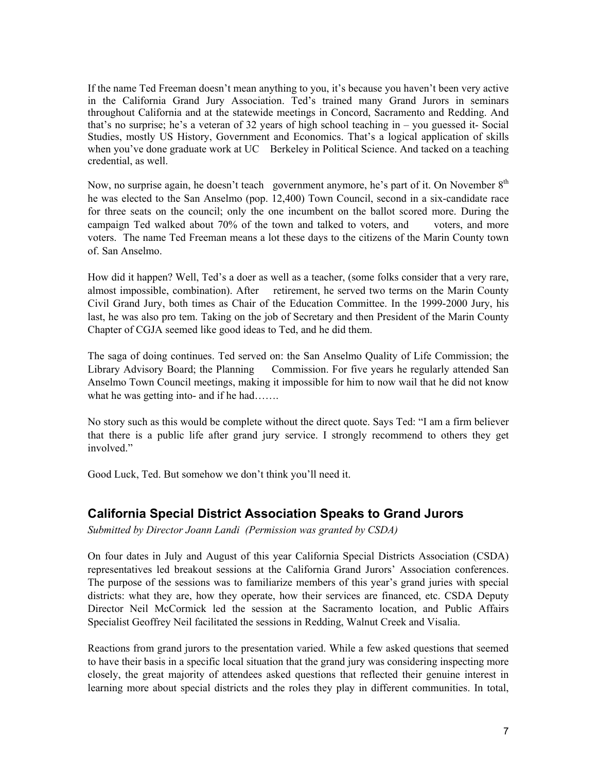If the name Ted Freeman doesn't mean anything to you, it's because you haven't been very active in the California Grand Jury Association. Ted's trained many Grand Jurors in seminars throughout California and at the statewide meetings in Concord, Sacramento and Redding. And that's no surprise; he's a veteran of 32 years of high school teaching in – you guessed it- Social Studies, mostly US History, Government and Economics. That's a logical application of skills when you've done graduate work at UC Berkeley in Political Science. And tacked on a teaching credential, as well.

Now, no surprise again, he doesn't teach government anymore, he's part of it. On November 8<sup>th</sup> he was elected to the San Anselmo (pop. 12,400) Town Council, second in a six-candidate race for three seats on the council; only the one incumbent on the ballot scored more. During the campaign Ted walked about 70% of the town and talked to voters, and voters, and more voters. The name Ted Freeman means a lot these days to the citizens of the Marin County town of. San Anselmo.

How did it happen? Well, Ted's a doer as well as a teacher, (some folks consider that a very rare, almost impossible, combination). After retirement, he served two terms on the Marin County Civil Grand Jury, both times as Chair of the Education Committee. In the 1999-2000 Jury, his last, he was also pro tem. Taking on the job of Secretary and then President of the Marin County Chapter of CGJA seemed like good ideas to Ted, and he did them.

The saga of doing continues. Ted served on: the San Anselmo Quality of Life Commission; the Library Advisory Board; the Planning Commission. For five years he regularly attended San Anselmo Town Council meetings, making it impossible for him to now wail that he did not know what he was getting into- and if he had…….

No story such as this would be complete without the direct quote. Says Ted: "I am a firm believer that there is a public life after grand jury service. I strongly recommend to others they get involved"

Good Luck, Ted. But somehow we don't think you'll need it.

### **California Special District Association Speaks to Grand Jurors**

*Submitted by Director Joann Landi (Permission was granted by CSDA)* 

On four dates in July and August of this year California Special Districts Association (CSDA) representatives led breakout sessions at the California Grand Jurors' Association conferences. The purpose of the sessions was to familiarize members of this year's grand juries with special districts: what they are, how they operate, how their services are financed, etc. CSDA Deputy Director Neil McCormick led the session at the Sacramento location, and Public Affairs Specialist Geoffrey Neil facilitated the sessions in Redding, Walnut Creek and Visalia.

Reactions from grand jurors to the presentation varied. While a few asked questions that seemed to have their basis in a specific local situation that the grand jury was considering inspecting more closely, the great majority of attendees asked questions that reflected their genuine interest in learning more about special districts and the roles they play in different communities. In total,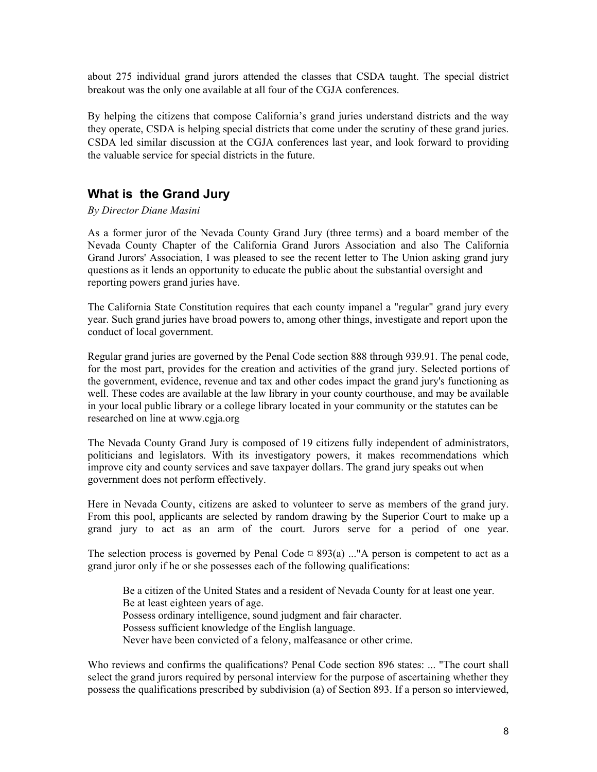about 275 individual grand jurors attended the classes that CSDA taught. The special district breakout was the only one available at all four of the CGJA conferences.

By helping the citizens that compose California's grand juries understand districts and the way they operate, CSDA is helping special districts that come under the scrutiny of these grand juries. CSDA led similar discussion at the CGJA conferences last year, and look forward to providing the valuable service for special districts in the future.

## **What is the Grand Jury**

### *By Director Diane Masini*

As a former juror of the Nevada County Grand Jury (three terms) and a board member of the Nevada County Chapter of the California Grand Jurors Association and also The California Grand Jurors' Association, I was pleased to see the recent letter to The Union asking grand jury questions as it lends an opportunity to educate the public about the substantial oversight and reporting powers grand juries have.

The California State Constitution requires that each county impanel a "regular" grand jury every year. Such grand juries have broad powers to, among other things, investigate and report upon the conduct of local government.

Regular grand juries are governed by the Penal Code section 888 through 939.91. The penal code, for the most part, provides for the creation and activities of the grand jury. Selected portions of the government, evidence, revenue and tax and other codes impact the grand jury's functioning as well. These codes are available at the law library in your county courthouse, and may be available in your local public library or a college library located in your community or the statutes can be researched on line at www.cgja.org

The Nevada County Grand Jury is composed of 19 citizens fully independent of administrators, politicians and legislators. With its investigatory powers, it makes recommendations which improve city and county services and save taxpayer dollars. The grand jury speaks out when government does not perform effectively.

Here in Nevada County, citizens are asked to volunteer to serve as members of the grand jury. From this pool, applicants are selected by random drawing by the Superior Court to make up a grand jury to act as an arm of the court. Jurors serve for a period of one year.

The selection process is governed by Penal Code  $\alpha$  893(a) ..."A person is competent to act as a grand juror only if he or she possesses each of the following qualifications:

Be a citizen of the United States and a resident of Nevada County for at least one year. Be at least eighteen years of age. Possess ordinary intelligence, sound judgment and fair character. Possess sufficient knowledge of the English language. Never have been convicted of a felony, malfeasance or other crime.

Who reviews and confirms the qualifications? Penal Code section 896 states: ... "The court shall select the grand jurors required by personal interview for the purpose of ascertaining whether they possess the qualifications prescribed by subdivision (a) of Section 893. If a person so interviewed,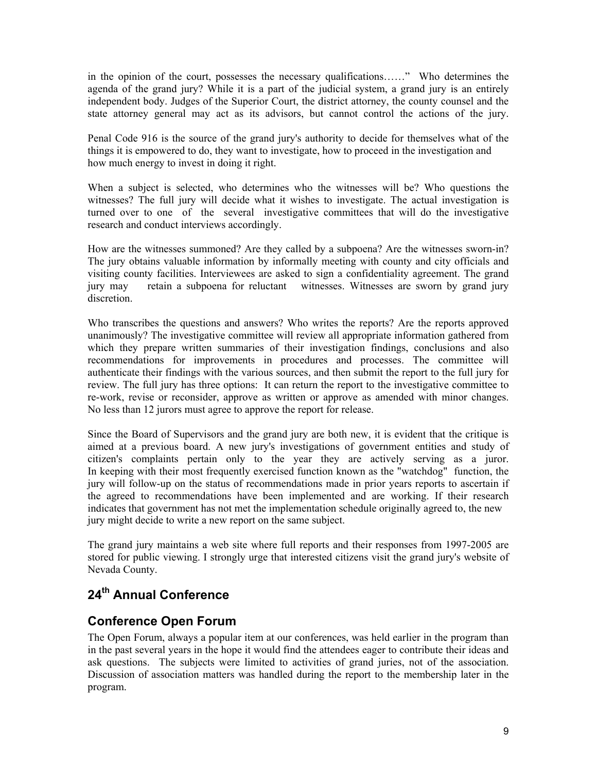in the opinion of the court, possesses the necessary qualifications……" Who determines the agenda of the grand jury? While it is a part of the judicial system, a grand jury is an entirely independent body. Judges of the Superior Court, the district attorney, the county counsel and the state attorney general may act as its advisors, but cannot control the actions of the jury.

Penal Code 916 is the source of the grand jury's authority to decide for themselves what of the things it is empowered to do, they want to investigate, how to proceed in the investigation and how much energy to invest in doing it right.

When a subject is selected, who determines who the witnesses will be? Who questions the witnesses? The full jury will decide what it wishes to investigate. The actual investigation is turned over to one of the several investigative committees that will do the investigative research and conduct interviews accordingly.

How are the witnesses summoned? Are they called by a subpoena? Are the witnesses sworn-in? The jury obtains valuable information by informally meeting with county and city officials and visiting county facilities. Interviewees are asked to sign a confidentiality agreement. The grand jury may retain a subpoena for reluctant witnesses. Witnesses are sworn by grand jury discretion.

Who transcribes the questions and answers? Who writes the reports? Are the reports approved unanimously? The investigative committee will review all appropriate information gathered from which they prepare written summaries of their investigation findings, conclusions and also recommendations for improvements in procedures and processes. The committee will authenticate their findings with the various sources, and then submit the report to the full jury for review. The full jury has three options: It can return the report to the investigative committee to re-work, revise or reconsider, approve as written or approve as amended with minor changes. No less than 12 jurors must agree to approve the report for release.

Since the Board of Supervisors and the grand jury are both new, it is evident that the critique is aimed at a previous board. A new jury's investigations of government entities and study of citizen's complaints pertain only to the year they are actively serving as a juror. In keeping with their most frequently exercised function known as the "watchdog" function, the jury will follow-up on the status of recommendations made in prior years reports to ascertain if the agreed to recommendations have been implemented and are working. If their research indicates that government has not met the implementation schedule originally agreed to, the new jury might decide to write a new report on the same subject.

The grand jury maintains a web site where full reports and their responses from 1997-2005 are stored for public viewing. I strongly urge that interested citizens visit the grand jury's website of Nevada County.

# **24th Annual Conference**

## **Conference Open Forum**

The Open Forum, always a popular item at our conferences, was held earlier in the program than in the past several years in the hope it would find the attendees eager to contribute their ideas and ask questions. The subjects were limited to activities of grand juries, not of the association. Discussion of association matters was handled during the report to the membership later in the program.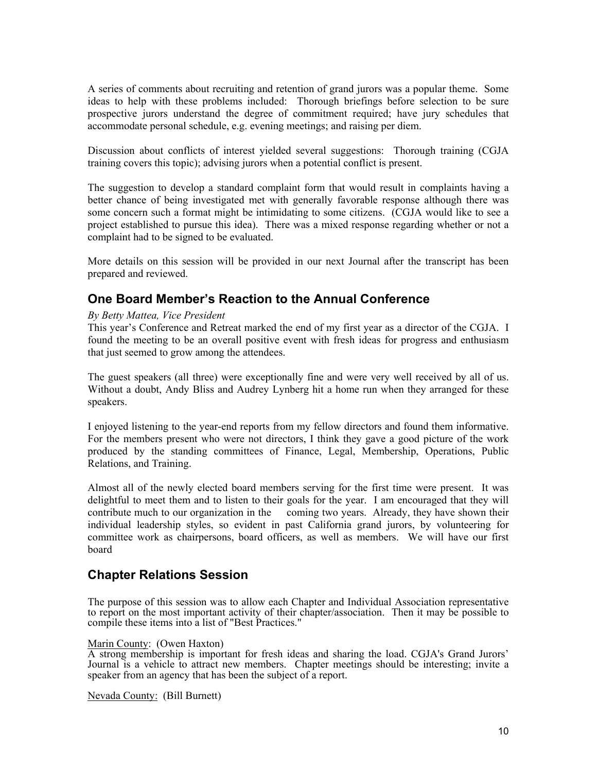A series of comments about recruiting and retention of grand jurors was a popular theme. Some ideas to help with these problems included: Thorough briefings before selection to be sure prospective jurors understand the degree of commitment required; have jury schedules that accommodate personal schedule, e.g. evening meetings; and raising per diem.

Discussion about conflicts of interest yielded several suggestions: Thorough training (CGJA training covers this topic); advising jurors when a potential conflict is present.

The suggestion to develop a standard complaint form that would result in complaints having a better chance of being investigated met with generally favorable response although there was some concern such a format might be intimidating to some citizens. (CGJA would like to see a project established to pursue this idea). There was a mixed response regarding whether or not a complaint had to be signed to be evaluated.

More details on this session will be provided in our next Journal after the transcript has been prepared and reviewed.

## **One Board Member's Reaction to the Annual Conference**

### *By Betty Mattea, Vice President*

This year's Conference and Retreat marked the end of my first year as a director of the CGJA. I found the meeting to be an overall positive event with fresh ideas for progress and enthusiasm that just seemed to grow among the attendees.

The guest speakers (all three) were exceptionally fine and were very well received by all of us. Without a doubt, Andy Bliss and Audrey Lynberg hit a home run when they arranged for these speakers.

I enjoyed listening to the year-end reports from my fellow directors and found them informative. For the members present who were not directors, I think they gave a good picture of the work produced by the standing committees of Finance, Legal, Membership, Operations, Public Relations, and Training.

Almost all of the newly elected board members serving for the first time were present. It was delightful to meet them and to listen to their goals for the year. I am encouraged that they will contribute much to our organization in the coming two years. Already, they have shown their individual leadership styles, so evident in past California grand jurors, by volunteering for committee work as chairpersons, board officers, as well as members. We will have our first board

### **Chapter Relations Session**

The purpose of this session was to allow each Chapter and Individual Association representative to report on the most important activity of their chapter/association. Then it may be possible to compile these items into a list of "Best Practices."

#### Marin County: (Owen Haxton)

A strong membership is important for fresh ideas and sharing the load. CGJA's Grand Jurors' Journal is a vehicle to attract new members. Chapter meetings should be interesting; invite a speaker from an agency that has been the subject of a report.

Nevada County: (Bill Burnett)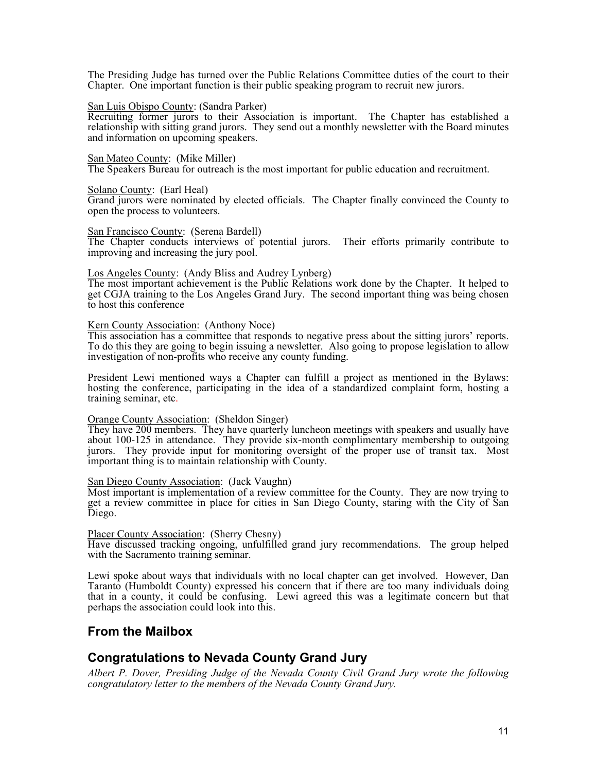The Presiding Judge has turned over the Public Relations Committee duties of the court to their Chapter. One important function is their public speaking program to recruit new jurors.

#### San Luis Obispo County: (Sandra Parker)

Recruiting former jurors to their Association is important. The Chapter has established a relationship with sitting grand jurors. They send out a monthly newsletter with the Board minutes and information on upcoming speakers.

#### San Mateo County: (Mike Miller)

The Speakers Bureau for outreach is the most important for public education and recruitment.

#### Solano County: (Earl Heal)

Grand jurors were nominated by elected officials. The Chapter finally convinced the County to open the process to volunteers.

#### San Francisco County: (Serena Bardell)

The Chapter conducts interviews of potential jurors. Their efforts primarily contribute to improving and increasing the jury pool.

### Los Angeles County: (Andy Bliss and Audrey Lynberg)

The most important achievement is the Public Relations work done by the Chapter. It helped to get CGJA training to the Los Angeles Grand Jury. The second important thing was being chosen to host this conference

### Kern County Association: (Anthony Noce)

This association has a committee that responds to negative press about the sitting jurors' reports. To do this they are going to begin issuing a newsletter. Also going to propose legislation to allow investigation of non-profits who receive any county funding.

President Lewi mentioned ways a Chapter can fulfill a project as mentioned in the Bylaws: hosting the conference, participating in the idea of a standardized complaint form, hosting a training seminar, etc.

#### Orange County Association: (Sheldon Singer)

They have 200 members. They have quarterly luncheon meetings with speakers and usually have about 100-125 in attendance. They provide six-month complimentary membership to outgoing jurors. They provide input for monitoring oversight of the proper use of transit tax. Most important thing is to maintain relationship with County.

#### San Diego County Association: (Jack Vaughn)

Most important is implementation of a review committee for the County. They are now trying to get a review committee in place for cities in San Diego County, staring with the City of San Diego.

#### Placer County Association: (Sherry Chesny)

Have discussed tracking ongoing, unfulfilled grand jury recommendations. The group helped with the Sacramento training seminar.

Lewi spoke about ways that individuals with no local chapter can get involved. However, Dan Taranto (Humboldt County) expressed his concern that if there are too many individuals doing that in a county, it could be confusing. Lewi agreed this was a legitimate concern but that perhaps the association could look into this.

### **From the Mailbox**

### **Congratulations to Nevada County Grand Jury**

*Albert P. Dover, Presiding Judge of the Nevada County Civil Grand Jury wrote the following congratulatory letter to the members of the Nevada County Grand Jury.*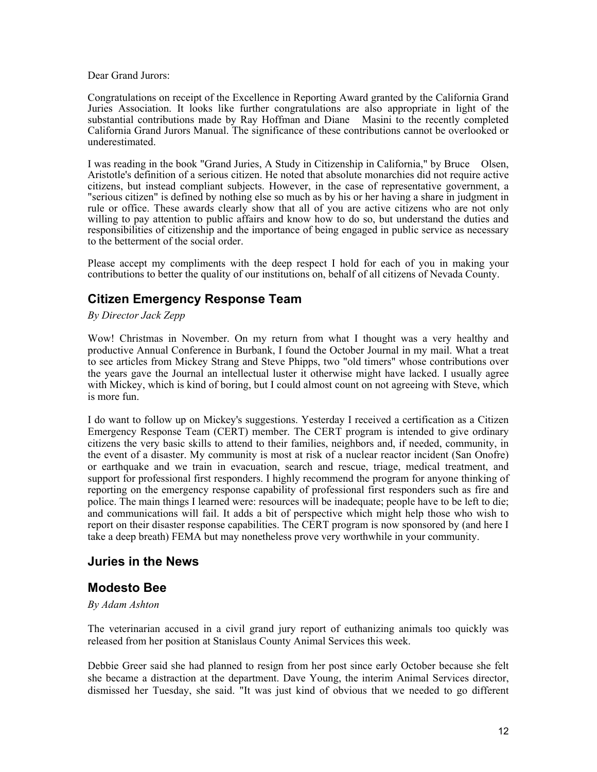Dear Grand Jurors:

Congratulations on receipt of the Excellence in Reporting Award granted by the California Grand Juries Association. It looks like further congratulations are also appropriate in light of the substantial contributions made by Ray Hoffman and Diane Masini to the recently completed California Grand Jurors Manual. The significance of these contributions cannot be overlooked or underestimated.

I was reading in the book "Grand Juries, A Study in Citizenship in California," by Bruce Olsen, Aristotle's definition of a serious citizen. He noted that absolute monarchies did not require active citizens, but instead compliant subjects. However, in the case of representative government, a "serious citizen" is defined by nothing else so much as by his or her having a share in judgment in rule or office. These awards clearly show that all of you are active citizens who are not only willing to pay attention to public affairs and know how to do so, but understand the duties and responsibilities of citizenship and the importance of being engaged in public service as necessary to the betterment of the social order.

Please accept my compliments with the deep respect I hold for each of you in making your contributions to better the quality of our institutions on, behalf of all citizens of Nevada County.

## **Citizen Emergency Response Team**

*By Director Jack Zepp* 

Wow! Christmas in November. On my return from what I thought was a very healthy and productive Annual Conference in Burbank, I found the October Journal in my mail. What a treat to see articles from Mickey Strang and Steve Phipps, two "old timers" whose contributions over the years gave the Journal an intellectual luster it otherwise might have lacked. I usually agree with Mickey, which is kind of boring, but I could almost count on not agreeing with Steve, which is more fun.

I do want to follow up on Mickey's suggestions. Yesterday I received a certification as a Citizen Emergency Response Team (CERT) member. The CERT program is intended to give ordinary citizens the very basic skills to attend to their families, neighbors and, if needed, community, in the event of a disaster. My community is most at risk of a nuclear reactor incident (San Onofre) or earthquake and we train in evacuation, search and rescue, triage, medical treatment, and support for professional first responders. I highly recommend the program for anyone thinking of reporting on the emergency response capability of professional first responders such as fire and police. The main things I learned were: resources will be inadequate; people have to be left to die; and communications will fail. It adds a bit of perspective which might help those who wish to report on their disaster response capabilities. The CERT program is now sponsored by (and here I take a deep breath) FEMA but may nonetheless prove very worthwhile in your community.

### **Juries in the News**

### **Modesto Bee**

### *By Adam Ashton*

The veterinarian accused in a civil grand jury report of euthanizing animals too quickly was released from her position at Stanislaus County Animal Services this week.

Debbie Greer said she had planned to resign from her post since early October because she felt she became a distraction at the department. Dave Young, the interim Animal Services director, dismissed her Tuesday, she said. "It was just kind of obvious that we needed to go different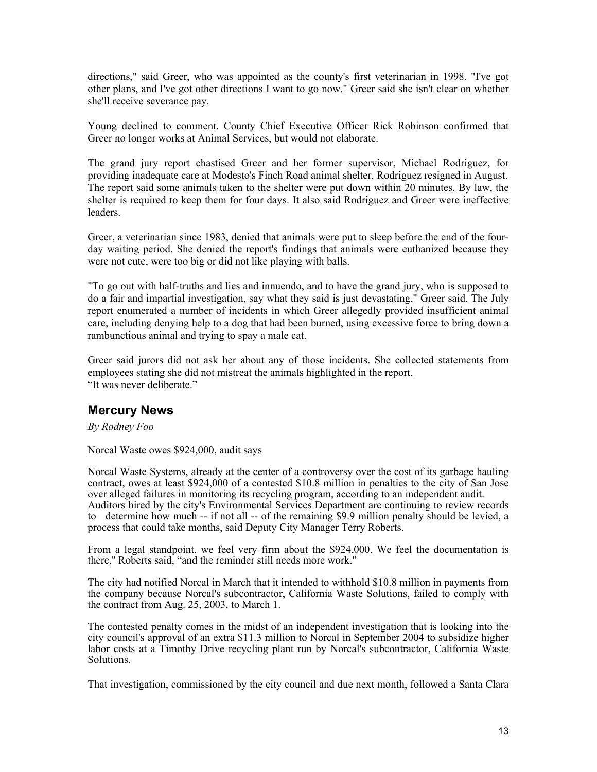directions," said Greer, who was appointed as the county's first veterinarian in 1998. "I've got other plans, and I've got other directions I want to go now." Greer said she isn't clear on whether she'll receive severance pay.

Young declined to comment. County Chief Executive Officer Rick Robinson confirmed that Greer no longer works at Animal Services, but would not elaborate.

The grand jury report chastised Greer and her former supervisor, Michael Rodriguez, for providing inadequate care at Modesto's Finch Road animal shelter. Rodriguez resigned in August. The report said some animals taken to the shelter were put down within 20 minutes. By law, the shelter is required to keep them for four days. It also said Rodriguez and Greer were ineffective leaders.

Greer, a veterinarian since 1983, denied that animals were put to sleep before the end of the fourday waiting period. She denied the report's findings that animals were euthanized because they were not cute, were too big or did not like playing with balls.

"To go out with half-truths and lies and innuendo, and to have the grand jury, who is supposed to do a fair and impartial investigation, say what they said is just devastating," Greer said. The July report enumerated a number of incidents in which Greer allegedly provided insufficient animal care, including denying help to a dog that had been burned, using excessive force to bring down a rambunctious animal and trying to spay a male cat.

Greer said jurors did not ask her about any of those incidents. She collected statements from employees stating she did not mistreat the animals highlighted in the report. "It was never deliberate"

### **Mercury News**

*By Rodney Foo* 

Norcal Waste owes \$924,000, audit says

Norcal Waste Systems, already at the center of a controversy over the cost of its garbage hauling contract, owes at least \$924,000 of a contested \$10.8 million in penalties to the city of San Jose over alleged failures in monitoring its recycling program, according to an independent audit. Auditors hired by the city's Environmental Services Department are continuing to review records to determine how much -- if not all -- of the remaining \$9.9 million penalty should be levied, a process that could take months, said Deputy City Manager Terry Roberts.

From a legal standpoint, we feel very firm about the \$924,000. We feel the documentation is there,'' Roberts said, "and the reminder still needs more work.''

The city had notified Norcal in March that it intended to withhold \$10.8 million in payments from the company because Norcal's subcontractor, California Waste Solutions, failed to comply with the contract from Aug. 25, 2003, to March 1.

The contested penalty comes in the midst of an independent investigation that is looking into the city council's approval of an extra \$11.3 million to Norcal in September 2004 to subsidize higher labor costs at a Timothy Drive recycling plant run by Norcal's subcontractor, California Waste Solutions.

That investigation, commissioned by the city council and due next month, followed a Santa Clara